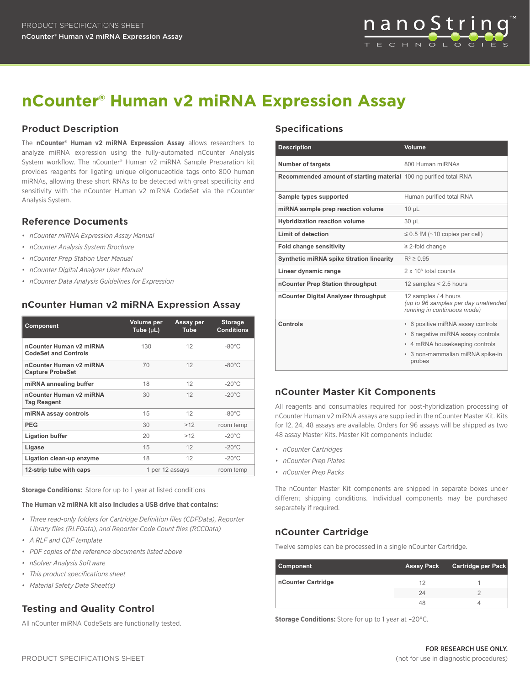

# **nCounter® Human v2 miRNA Expression Assay**

### **Product Description**

The **nCounter® Human v2 miRNA Expression Assay** allows researchers to analyze miRNA expression using the fully-automated nCounter Analysis System workflow. The nCounter® Human v2 miRNA Sample Preparation kit provides reagents for ligating unique oligonuceotide tags onto 800 human miRNAs, allowing these short RNAs to be detected with great specificity and sensitivity with the nCounter Human v2 miRNA CodeSet via the nCounter Analysis System.

#### **Reference Documents**

- *• nCounter miRNA Expression Assay Manual*
- *• nCounter Analysis System Brochure*
- *• nCounter Prep Station User Manual*
- *• nCounter Digital Analyzer User Manual*
- *• nCounter Data Analysis Guidelines for Expression*

#### **nCounter Human v2 miRNA Expression Assay**

| <b>Component</b>                                       | Volume per<br>Tube $(\mu L)$ | Assay per<br><b>Tube</b> | <b>Storage</b><br><b>Conditions</b> |
|--------------------------------------------------------|------------------------------|--------------------------|-------------------------------------|
| nCounter Human v2 miRNA<br><b>CodeSet and Controls</b> | 130                          | 12                       | $-80^{\circ}$ C                     |
| nCounter Human v2 miRNA<br><b>Capture ProbeSet</b>     | 70                           | 12                       | $-80^{\circ}$ C                     |
| miRNA annealing buffer                                 | 18                           | 12                       | $-20^{\circ}$ C                     |
| nCounter Human v2 miRNA<br><b>Tag Reagent</b>          | 30                           | 12                       | $-20^{\circ}$ C                     |
| miRNA assay controls                                   | 15                           | 12                       | $-80^{\circ}$ C                     |
| <b>PEG</b>                                             | 30                           | >12                      | room temp                           |
| <b>Ligation buffer</b>                                 | 20                           | >12                      | $-20^{\circ}$ C                     |
| Ligase                                                 | 15                           | 12                       | $-20^{\circ}$ C                     |
| Ligation clean-up enzyme                               | 18                           | 12                       | $-20^{\circ}$ C                     |
| 12-strip tube with caps                                | 1 per 12 assays              |                          | room temp                           |

**Storage Conditions:** Store for up to 1 year at listed conditions

#### **The Human v2 miRNA kit also includes a USB drive that contains:**

- *• Three read-only folders for Cartridge Definition files (CDFData), Reporter Library files (RLFData), and Reporter Code Count files (RCCData)*
- *• A RLF and CDF template*
- *• PDF copies of the reference documents listed above*
- *• nSolver Analysis Software*
- *• This product specifications sheet*
- *• Material Safety Data Sheet(s)*

# **Testing and Quality Control**

All nCounter miRNA CodeSets are functionally tested.

#### **Specifications**

| <b>Description</b>                                                | <b>Volume</b>                                                                               |
|-------------------------------------------------------------------|---------------------------------------------------------------------------------------------|
| <b>Number of targets</b>                                          | 800 Human miRNAs                                                                            |
| Recommended amount of starting material 100 ng purified total RNA |                                                                                             |
| Sample types supported                                            | Human purified total RNA                                                                    |
| miRNA sample prep reaction volume                                 | $10 \mu L$                                                                                  |
| <b>Hybridization reaction volume</b>                              | 30 µL                                                                                       |
| Limit of detection                                                | $\leq$ 0.5 fM ( $\sim$ 10 copies per cell)                                                  |
| <b>Fold change sensitivity</b>                                    | $\geq$ 2-fold change                                                                        |
| Synthetic miRNA spike titration linearity                         | $R^2 \ge 0.95$                                                                              |
| Linear dynamic range                                              | $2 \times 10^6$ total counts                                                                |
| nCounter Prep Station throughput                                  | 12 samples $< 2.5$ hours                                                                    |
| nCounter Digital Analyzer throughput                              | 12 samples / 4 hours<br>(up to 96 samples per day unattended<br>running in continuous mode) |
| Controls                                                          | • 6 positive miRNA assay controls                                                           |
|                                                                   | • 6 negative miRNA assay controls                                                           |
|                                                                   | • 4 mRNA housekeeping controls                                                              |
|                                                                   | 3 non-mammalian miRNA spike-in<br>۰<br>probes                                               |

#### **nCounter Master Kit Components**

All reagents and consumables required for post-hybridization processing of nCounter Human v2 miRNA assays are supplied in the nCounter Master Kit. Kits for 12, 24, 48 assays are available. Orders for 96 assays will be shipped as two 48 assay Master Kits. Master Kit components include:

- *• nCounter Cartridges*
- *• nCounter Prep Plates*
- *• nCounter Prep Packs*

The nCounter Master Kit components are shipped in separate boxes under different shipping conditions. Individual components may be purchased separately if required.

#### **nCounter Cartridge**

Twelve samples can be processed in a single nCounter Cartridge.

| Component          | <b>Assay Pack</b> | <b>Cartridge per Pack</b> |
|--------------------|-------------------|---------------------------|
| nCounter Cartridge | 12                |                           |
|                    | 24                |                           |
|                    | 48                |                           |

**Storage Conditions:** Store for up to 1 year at –20°C.